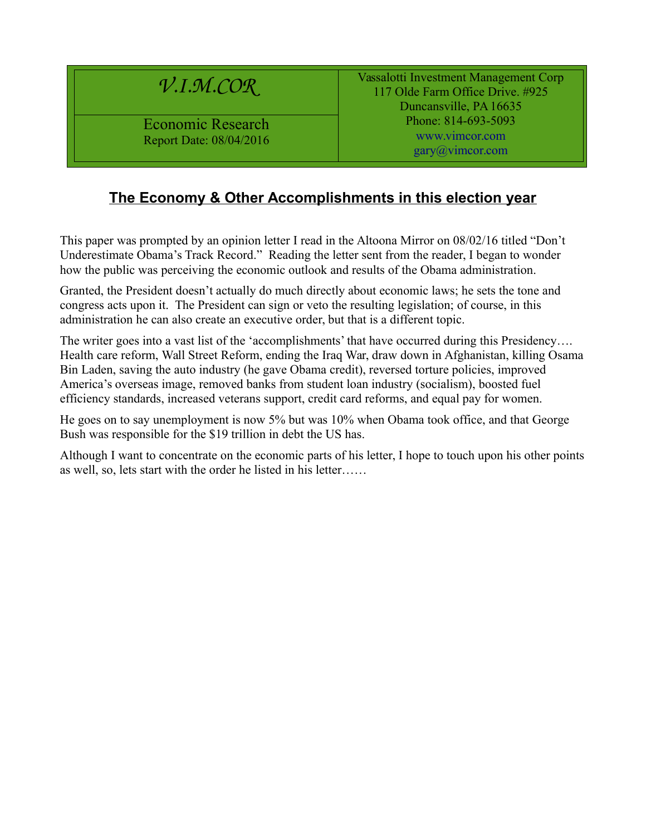# *V.I.M.COR*

Economic Research Report Date: 08/04/2016 Vassalotti Investment Management Corp 117 Olde Farm Office Drive. #925 Duncansville, PA 16635 Phone: 814-693-5093 [www.vimcor.com](http://www.vimcor.com/) [gary@vimcor.com](mailto:gary@vimcor.com)

#### **The Economy & Other Accomplishments in this election year**

This paper was prompted by an opinion letter I read in the Altoona Mirror on 08/02/16 titled "Don't Underestimate Obama's Track Record." Reading the letter sent from the reader, I began to wonder how the public was perceiving the economic outlook and results of the Obama administration.

Granted, the President doesn't actually do much directly about economic laws; he sets the tone and congress acts upon it. The President can sign or veto the resulting legislation; of course, in this administration he can also create an executive order, but that is a different topic.

The writer goes into a vast list of the 'accomplishments' that have occurred during this Presidency.... Health care reform, Wall Street Reform, ending the Iraq War, draw down in Afghanistan, killing Osama Bin Laden, saving the auto industry (he gave Obama credit), reversed torture policies, improved America's overseas image, removed banks from student loan industry (socialism), boosted fuel efficiency standards, increased veterans support, credit card reforms, and equal pay for women.

He goes on to say unemployment is now 5% but was 10% when Obama took office, and that George Bush was responsible for the \$19 trillion in debt the US has.

Although I want to concentrate on the economic parts of his letter, I hope to touch upon his other points as well, so, lets start with the order he listed in his letter……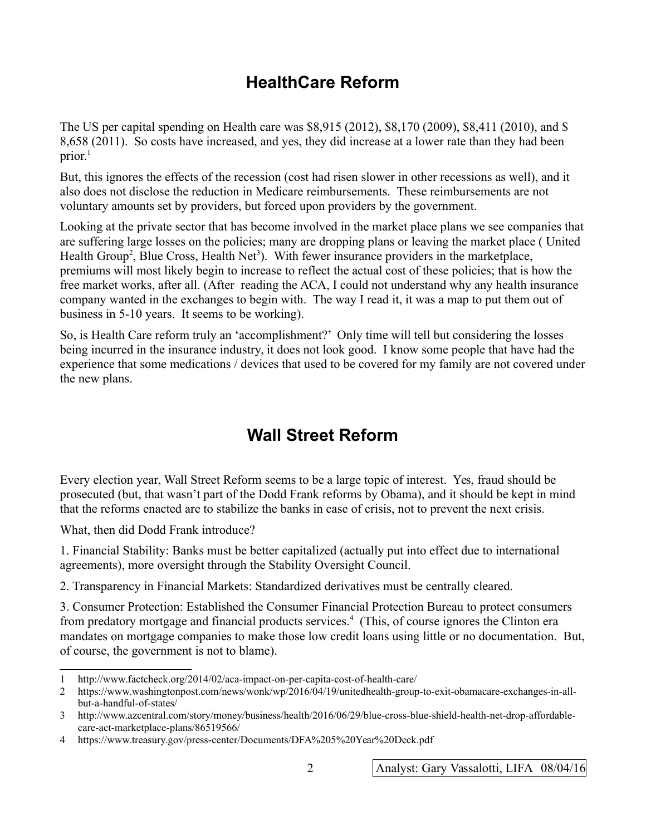## **HealthCare Reform**

The US per capital spending on Health care was \$8,915 (2012), \$8,170 (2009), \$8,411 (2010), and \$ 8,658 (2011). So costs have increased, and yes, they did increase at a lower rate than they had been prior. $<sup>1</sup>$  $<sup>1</sup>$  $<sup>1</sup>$ </sup>

But, this ignores the effects of the recession (cost had risen slower in other recessions as well), and it also does not disclose the reduction in Medicare reimbursements. These reimbursements are not voluntary amounts set by providers, but forced upon providers by the government.

Looking at the private sector that has become involved in the market place plans we see companies that are suffering large losses on the policies; many are dropping plans or leaving the market place ( United Health Group<sup>[2](#page-1-1)</sup>, Blue Cross, Health Net<sup>[3](#page-1-2)</sup>). With fewer insurance providers in the marketplace, premiums will most likely begin to increase to reflect the actual cost of these policies; that is how the free market works, after all. (After reading the ACA, I could not understand why any health insurance company wanted in the exchanges to begin with. The way I read it, it was a map to put them out of business in 5-10 years. It seems to be working).

So, is Health Care reform truly an 'accomplishment?' Only time will tell but considering the losses being incurred in the insurance industry, it does not look good. I know some people that have had the experience that some medications / devices that used to be covered for my family are not covered under the new plans.

## **Wall Street Reform**

Every election year, Wall Street Reform seems to be a large topic of interest. Yes, fraud should be prosecuted (but, that wasn't part of the Dodd Frank reforms by Obama), and it should be kept in mind that the reforms enacted are to stabilize the banks in case of crisis, not to prevent the next crisis.

What, then did Dodd Frank introduce?

1. Financial Stability: Banks must be better capitalized (actually put into effect due to international agreements), more oversight through the Stability Oversight Council.

2. Transparency in Financial Markets: Standardized derivatives must be centrally cleared.

3. Consumer Protection: Established the Consumer Financial Protection Bureau to protect consumers from predatory mortgage and financial products services.<sup>[4](#page-1-3)</sup> (This, of course ignores the Clinton era mandates on mortgage companies to make those low credit loans using little or no documentation. But, of course, the government is not to blame).

<span id="page-1-0"></span><sup>1</sup> http://www.factcheck.org/2014/02/aca-impact-on-per-capita-cost-of-health-care/

<span id="page-1-1"></span><sup>2</sup> https://www.washingtonpost.com/news/wonk/wp/2016/04/19/unitedhealth-group-to-exit-obamacare-exchanges-in-allbut-a-handful-of-states/

<span id="page-1-2"></span><sup>3</sup> http://www.azcentral.com/story/money/business/health/2016/06/29/blue-cross-blue-shield-health-net-drop-affordablecare-act-marketplace-plans/86519566/

<span id="page-1-3"></span><sup>4</sup> https://www.treasury.gov/press-center/Documents/DFA%205%20Year%20Deck.pdf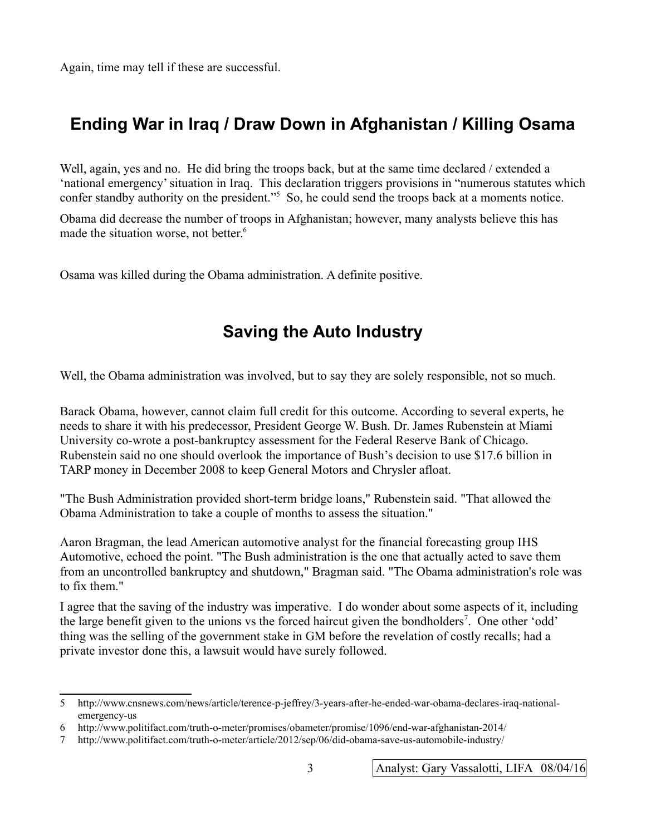Again, time may tell if these are successful.

## **Ending War in Iraq / Draw Down in Afghanistan / Killing Osama**

Well, again, yes and no. He did bring the troops back, but at the same time declared / extended a 'national emergency' situation in Iraq. This declaration triggers provisions in "numerous statutes which confer standby authority on the president."[5](#page-2-0) So, he could send the troops back at a moments notice.

Obama did decrease the number of troops in Afghanistan; however, many analysts believe this has made the situation worse, not better.<sup>[6](#page-2-1)</sup>

Osama was killed during the Obama administration. A definite positive.

## **Saving the Auto Industry**

Well, the Obama administration was involved, but to say they are solely responsible, not so much.

Barack Obama, however, cannot claim full credit for this outcome. According to several experts, he needs to share it with his predecessor, President George W. Bush. Dr. James Rubenstein at Miami University co-wrote a post-bankruptcy assessment for the Federal Reserve Bank of Chicago. Rubenstein said no one should overlook the importance of Bush's decision to use \$17.6 billion in TARP money in December 2008 to keep General Motors and Chrysler afloat.

"The Bush Administration provided short-term bridge loans," Rubenstein said. "That allowed the Obama Administration to take a couple of months to assess the situation."

Aaron Bragman, the lead American automotive analyst for the financial forecasting group IHS Automotive, echoed the point. "The Bush administration is the one that actually acted to save them from an uncontrolled bankruptcy and shutdown," Bragman said. "The Obama administration's role was to fix them."

I agree that the saving of the industry was imperative. I do wonder about some aspects of it, including the large benefit given to the unions vs the forced haircut given the bondholders<sup>[7](#page-2-2)</sup>. One other 'odd' thing was the selling of the government stake in GM before the revelation of costly recalls; had a private investor done this, a lawsuit would have surely followed.

<span id="page-2-0"></span><sup>5</sup> http://www.cnsnews.com/news/article/terence-p-jeffrey/3-years-after-he-ended-war-obama-declares-iraq-nationalemergency-us

<span id="page-2-1"></span><sup>6</sup> http://www.politifact.com/truth-o-meter/promises/obameter/promise/1096/end-war-afghanistan-2014/

<span id="page-2-2"></span><sup>7</sup> http://www.politifact.com/truth-o-meter/article/2012/sep/06/did-obama-save-us-automobile-industry/